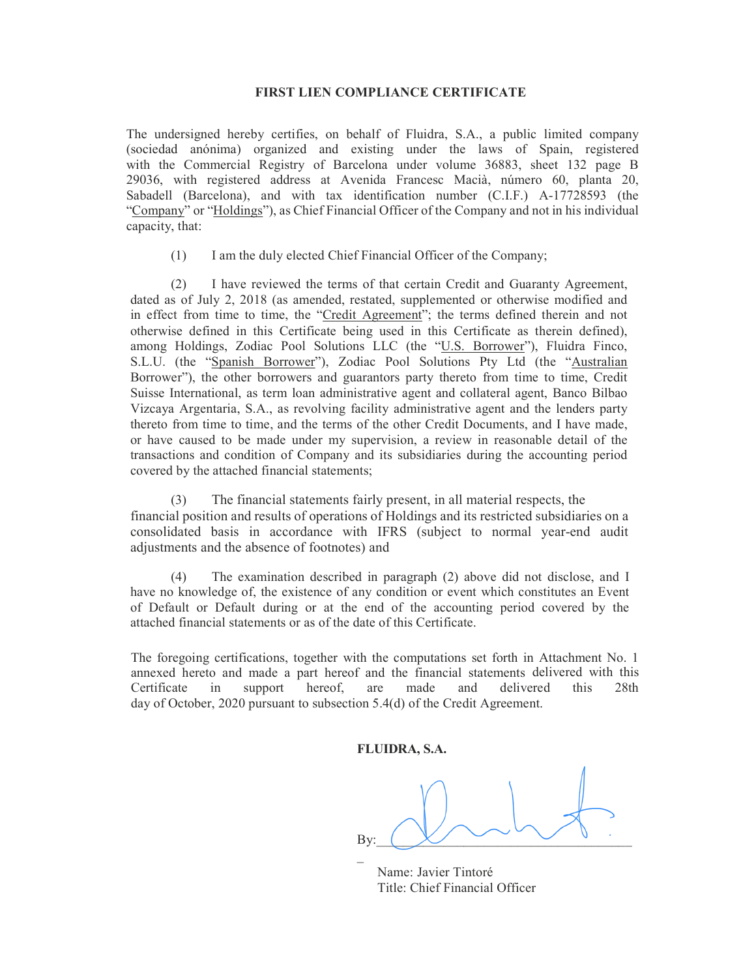## FIRST LIEN COMPLIANCE CERTIFICATE

The undersigned hereby certifies, on behalf of Fluidra, S.A., a public limited company (sociedad anónima) organized and existing under the laws of Spain, registered with the Commercial Registry of Barcelona under volume 36883, sheet 132 page B 29036, with registered address at Avenida Francesc Macià, número 60, planta 20, Sabadell (Barcelona), and with tax identification number (C.I.F.) A-17728593 (the "Company" or "Holdings"), as Chief Financial Officer of the Company and not in his individual capacity, that:

(1) I am the duly elected Chief Financial Officer of the Company;

(2) I have reviewed the terms of that certain Credit and Guaranty Agreement, dated as of July 2, 2018 (as amended, restated, supplemented or otherwise modified and in effect from time to time, the "Credit Agreement"; the terms defined therein and not otherwise defined in this Certificate being used in this Certificate as therein defined), among Holdings, Zodiac Pool Solutions LLC (the "U.S. Borrower"), Fluidra Finco, S.L.U. (the "Spanish Borrower"), Zodiac Pool Solutions Pty Ltd (the "Australian Borrower"), the other borrowers and guarantors party thereto from time to time, Credit Suisse International, as term loan administrative agent and collateral agent, Banco Bilbao Vizcaya Argentaria, S.A., as revolving facility administrative agent and the lenders party thereto from time to time, and the terms of the other Credit Documents, and I have made, or have caused to be made under my supervision, a review in reasonable detail of the transactions and condition of Company and its subsidiaries during the accounting period covered by the attached financial statements;

(3) The financial statements fairly present, in all material respects, the financial position and results of operations of Holdings and its restricted subsidiaries on a consolidated basis in accordance with IFRS (subject to normal year-end audit adjustments and the absence of footnotes) and

(4) The examination described in paragraph (2) above did not disclose, and I have no knowledge of, the existence of any condition or event which constitutes an Event of Default or Default during or at the end of the accounting period covered by the attached financial statements or as of the date of this Certificate.

The foregoing certifications, together with the computations set forth in Attachment No. 1 annexed hereto and made a part hereof and the financial statements delivered with this Certificate in support hereof, are made and delivered this 28th day of October, 2020 pursuant to subsection 5.4(d) of the Credit Agreement.

FLUIDRA, S.A.

By:  $\begin{pmatrix} 1 & 1 \\ 1 & 1 \end{pmatrix}$  $\mathcal{L}(\mathcal{L})$ 

 Name: Javier Tintoré Title: Chief Financial Officer